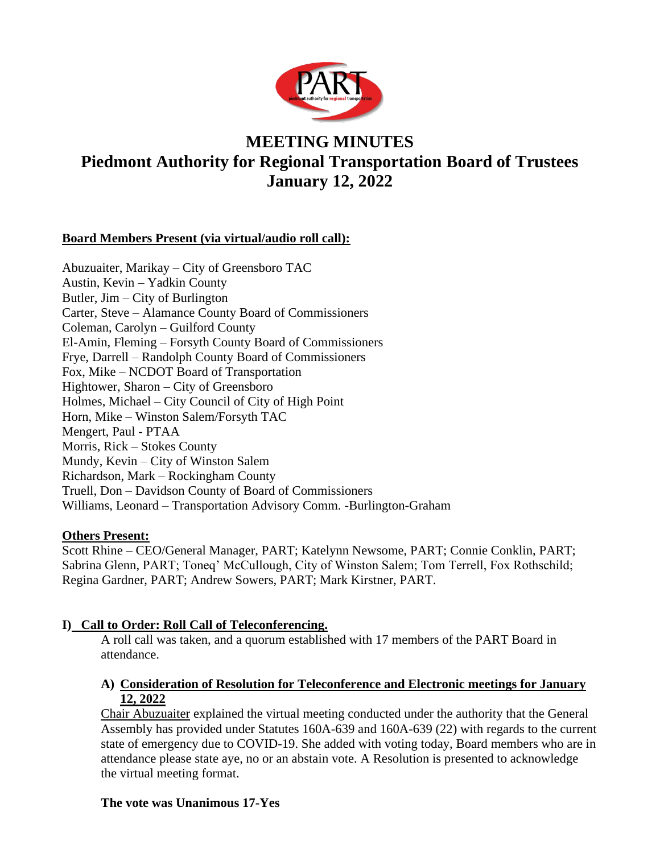

# **MEETING MINUTES Piedmont Authority for Regional Transportation Board of Trustees January 12, 2022**

# **Board Members Present (via virtual/audio roll call):**

Abuzuaiter, Marikay – City of Greensboro TAC Austin, Kevin – Yadkin County Butler, Jim – City of Burlington Carter, Steve – Alamance County Board of Commissioners Coleman, Carolyn – Guilford County El-Amin, Fleming – Forsyth County Board of Commissioners Frye, Darrell – Randolph County Board of Commissioners Fox, Mike – NCDOT Board of Transportation Hightower, Sharon – City of Greensboro Holmes, Michael – City Council of City of High Point Horn, Mike – Winston Salem/Forsyth TAC Mengert, Paul - PTAA Morris, Rick – Stokes County Mundy, Kevin – City of Winston Salem Richardson, Mark – Rockingham County Truell, Don – Davidson County of Board of Commissioners Williams, Leonard – Transportation Advisory Comm. -Burlington-Graham

## **Others Present:**

Scott Rhine – CEO/General Manager, PART; Katelynn Newsome, PART; Connie Conklin, PART; Sabrina Glenn, PART; Toneq' McCullough, City of Winston Salem; Tom Terrell, Fox Rothschild; Regina Gardner, PART; Andrew Sowers, PART; Mark Kirstner, PART.

## **I) Call to Order: Roll Call of Teleconferencing.**

A roll call was taken, and a quorum established with 17 members of the PART Board in attendance.

## **A) Consideration of Resolution for Teleconference and Electronic meetings for January 12, 2022**

Chair Abuzuaiter explained the virtual meeting conducted under the authority that the General Assembly has provided under Statutes 160A-639 and 160A-639 (22) with regards to the current state of emergency due to COVID-19. She added with voting today, Board members who are in attendance please state aye, no or an abstain vote. A Resolution is presented to acknowledge the virtual meeting format.

## **The vote was Unanimous 17-Yes**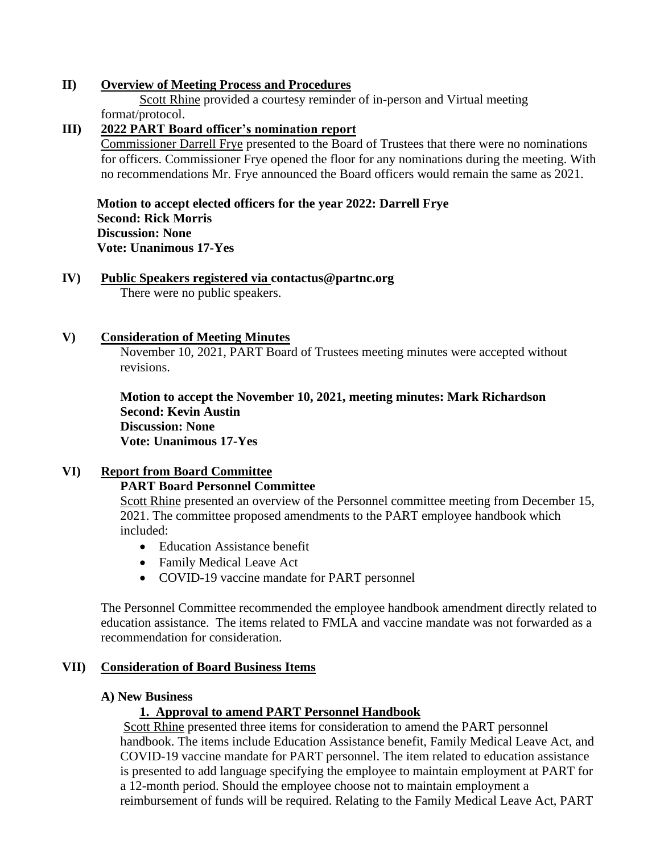### **II) Overview of Meeting Process and Procedures**

Scott Rhine provided a courtesy reminder of in-person and Virtual meeting format/protocol.

## **III) 2022 PART Board officer's nomination report**

Commissioner Darrell Frye presented to the Board of Trustees that there were no nominations for officers. Commissioner Frye opened the floor for any nominations during the meeting. With no recommendations Mr. Frye announced the Board officers would remain the same as 2021.

 **Motion to accept elected officers for the year 2022: Darrell Frye Second: Rick Morris Discussion: None Vote: Unanimous 17-Yes**

**IV) Public Speakers registered via [contactus@partnc.org](mailto:contactus@partnc.org)** There were no public speakers.

## **V) Consideration of Meeting Minutes**

November 10, 2021, PART Board of Trustees meeting minutes were accepted without revisions.

**Motion to accept the November 10, 2021, meeting minutes: Mark Richardson Second: Kevin Austin Discussion: None Vote: Unanimous 17-Yes** 

## **VI) Report from Board Committee**

#### **PART Board Personnel Committee**

Scott Rhine presented an overview of the Personnel committee meeting from December 15, 2021. The committee proposed amendments to the PART employee handbook which included:

- Education Assistance benefit
- Family Medical Leave Act
- COVID-19 vaccine mandate for PART personnel

The Personnel Committee recommended the employee handbook amendment directly related to education assistance. The items related to FMLA and vaccine mandate was not forwarded as a recommendation for consideration.

#### **VII) Consideration of Board Business Items**

#### **A) New Business**

## **1. Approval to amend PART Personnel Handbook**

Scott Rhine presented three items for consideration to amend the PART personnel handbook. The items include Education Assistance benefit, Family Medical Leave Act, and COVID-19 vaccine mandate for PART personnel. The item related to education assistance is presented to add language specifying the employee to maintain employment at PART for a 12-month period. Should the employee choose not to maintain employment a reimbursement of funds will be required. Relating to the Family Medical Leave Act, PART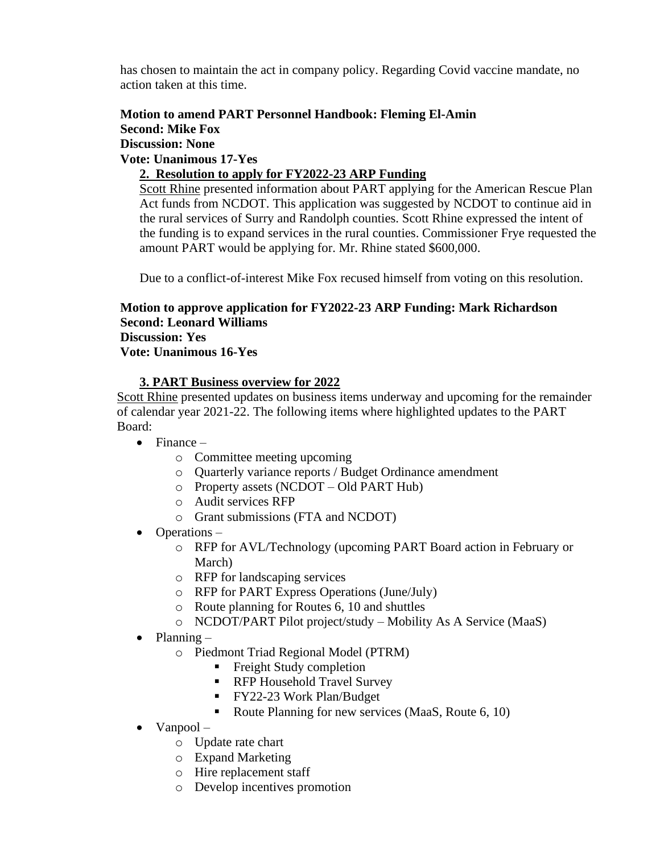has chosen to maintain the act in company policy. Regarding Covid vaccine mandate, no action taken at this time.

## **Motion to amend PART Personnel Handbook: Fleming El-Amin Second: Mike Fox**

**Discussion: None**

**Vote: Unanimous 17-Yes**

# **2. Resolution to apply for FY2022-23 ARP Funding**

Scott Rhine presented information about PART applying for the American Rescue Plan Act funds from NCDOT. This application was suggested by NCDOT to continue aid in the rural services of Surry and Randolph counties. Scott Rhine expressed the intent of the funding is to expand services in the rural counties. Commissioner Frye requested the amount PART would be applying for. Mr. Rhine stated \$600,000.

Due to a conflict-of-interest Mike Fox recused himself from voting on this resolution.

#### **Motion to approve application for FY2022-23 ARP Funding: Mark Richardson Second: Leonard Williams Discussion: Yes Vote: Unanimous 16-Yes**

## **3. PART Business overview for 2022**

Scott Rhine presented updates on business items underway and upcoming for the remainder of calendar year 2021-22. The following items where highlighted updates to the PART Board:

- $\bullet$  Finance
	- o Committee meeting upcoming
	- o Quarterly variance reports / Budget Ordinance amendment
	- o Property assets (NCDOT Old PART Hub)
	- o Audit services RFP
	- o Grant submissions (FTA and NCDOT)
- Operations
	- o RFP for AVL/Technology (upcoming PART Board action in February or March)
	- o RFP for landscaping services
	- o RFP for PART Express Operations (June/July)
	- o Route planning for Routes 6, 10 and shuttles
	- o NCDOT/PART Pilot project/study Mobility As A Service (MaaS)
- $\bullet$  Planning
	- o Piedmont Triad Regional Model (PTRM)
		- **•** Freight Study completion
		- RFP Household Travel Survey
		- FY22-23 Work Plan/Budget
		- Route Planning for new services (MaaS, Route 6, 10)
- Vanpool
	- o Update rate chart
	- o Expand Marketing
	- o Hire replacement staff
	- o Develop incentives promotion